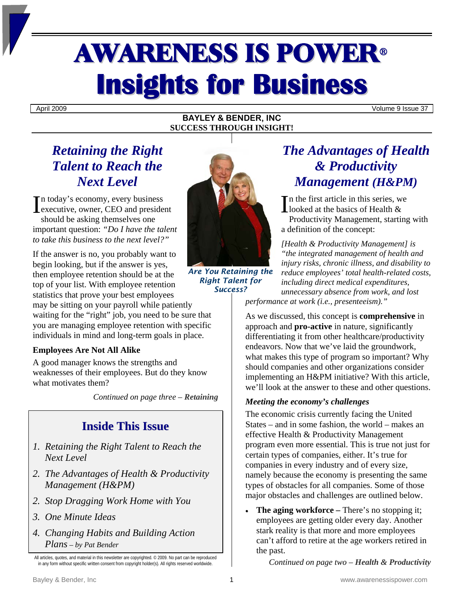# AWARENESS IS POWER<sup>ü</sup> **Insights for Business**

April 2009 Volume 9 Issue 37

#### **BAYLEY & BENDER, INC SUCCESS THROUGH INSIGHT!**

## *Retaining the Right Talent to Reach the Next Level*

n today's economy, every business In today's economy, every business<br>
executive, owner, CEO and president should be asking themselves one important question: *"Do I have the talent to take this business to the next level?"* 

If the answer is no, you probably want to begin looking, but if the answer is yes, then employee retention should be at the top of your list. With employee retention statistics that prove your best employees may be sitting on your payroll while patiently waiting for the "right" job, you need to be sure that

you are managing employee retention with specific individuals in mind and long-term goals in place.

### **Employees Are Not All Alike**

A good manager knows the strengths and weaknesses of their employees. But do they know what motivates them?

*Continued on page three – Retaining* 

## **Inside This Issue**

- *1. Retaining the Right Talent to Reach the Next Level*
- *2. The Advantages of Health & Productivity Management (H&PM)*
- *2. Stop Dragging Work Home with You*
- *3. One Minute Ideas*
- *4. Changing Habits and Building Action Plans – by Pat Bender*



*Are You Retaining the Right Talent for Success?*

## *The Advantages of Health & Productivity Management (H&PM)*

n the first article in this series, we looked at the basics of Health & Productivity Management, starting with a definition of the concept:

*[Health & Productivity Management] is "the integrated management of health and injury risks, chronic illness, and disability to reduce employees' total health-related costs, including direct medical expenditures, unnecessary absence from work, and lost performance at work (i.e., presenteeism)."* 

As we discussed, this concept is **comprehensive** in approach and **pro-active** in nature, significantly differentiating it from other healthcare/productivity endeavors. Now that we've laid the groundwork, what makes this type of program so important? Why should companies and other organizations consider implementing an H&PM initiative? With this article, we'll look at the answer to these and other questions.

#### *Meeting the economy's challenges*

The economic crisis currently facing the United States – and in some fashion, the world – makes an effective Health & Productivity Management program even more essential. This is true not just for certain types of companies, either. It's true for companies in every industry and of every size, namely because the economy is presenting the same types of obstacles for all companies. Some of those major obstacles and challenges are outlined below.

**The aging workforce** – There's no stopping it; employees are getting older every day. Another stark reality is that more and more employees can't afford to retire at the age workers retired in the past.

*Continued on page two – Health & Productivity* 

All articles, quotes, and material in this newsletter are copyrighted. © 2009. No part can be reproduced in any form without specific written consent from copyright holder(s). All rights reserved worldwide.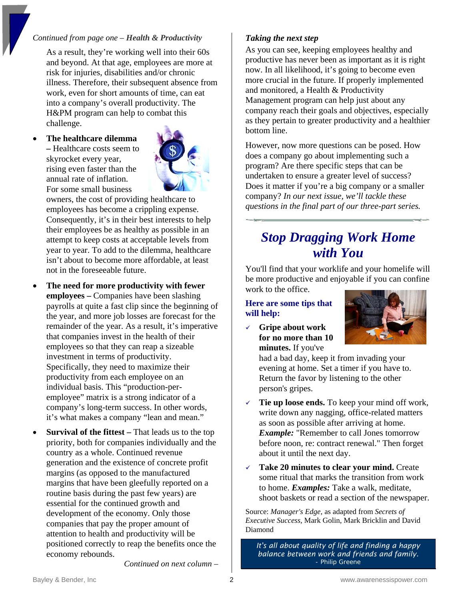#### *Continued from page one – Health & Productivity*

As a result, they're working well into their 60s and beyond. At that age, employees are more at risk for injuries, disabilities and/or chronic illness. Therefore, their subsequent absence from work, even for short amounts of time, can eat into a company's overall productivity. The H&PM program can help to combat this challenge.

• **The healthcare dilemma –** Healthcare costs seem to skyrocket every year, rising even faster than the annual rate of inflation. For some small business



owners, the cost of providing healthcare to employees has become a crippling expense. Consequently, it's in their best interests to help their employees be as healthy as possible in an attempt to keep costs at acceptable levels from year to year. To add to the dilemma, healthcare isn't about to become more affordable, at least not in the foreseeable future.

- **The need for more productivity with fewer employees –** Companies have been slashing payrolls at quite a fast clip since the beginning of the year, and more job losses are forecast for the remainder of the year. As a result, it's imperative that companies invest in the health of their employees so that they can reap a sizeable investment in terms of productivity. Specifically, they need to maximize their productivity from each employee on an individual basis. This "production-peremployee" matrix is a strong indicator of a company's long-term success. In other words, it's what makes a company "lean and mean."
- **Survival of the fittest** That leads us to the top priority, both for companies individually and the country as a whole. Continued revenue generation and the existence of concrete profit margins (as opposed to the manufactured margins that have been gleefully reported on a routine basis during the past few years) are essential for the continued growth and development of the economy. Only those companies that pay the proper amount of attention to health and productivity will be positioned correctly to reap the benefits once the economy rebounds.

#### *Taking the next step*

As you can see, keeping employees healthy and productive has never been as important as it is right now. In all likelihood, it's going to become even more crucial in the future. If properly implemented and monitored, a Health & Productivity Management program can help just about any company reach their goals and objectives, especially as they pertain to greater productivity and a healthier bottom line.

However, now more questions can be posed. How does a company go about implementing such a program? Are there specific steps that can be undertaken to ensure a greater level of success? Does it matter if you're a big company or a smaller company? *In our next issue, we'll tackle these questions in the final part of our three-part series.* 

## *Stop Dragging Work Home with You*

You'll find that your worklife and your homelife will be more productive and enjoyable if you can confine work to the office.

#### **Here are some tips that will help:**

<sup>9</sup> **Gripe about work for no more than 10 minutes.** If you've



had a bad day, keep it from invading your evening at home. Set a timer if you have to. Return the favor by listening to the other person's gripes.

- **Tie up loose ends.** To keep your mind off work, write down any nagging, office-related matters as soon as possible after arriving at home. *Example:* "Remember to call Jones tomorrow before noon, re: contract renewal." Then forget about it until the next day.
- <sup>9</sup> **Take 20 minutes to clear your mind.** Create some ritual that marks the transition from work to home. *Examples:* Take a walk, meditate, shoot baskets or read a section of the newspaper.

Source: *Manager's Edge,* as adapted from *Secrets of Executive Success,* Mark Golin, Mark Bricklin and David Diamond

*It's all about quality of life and finding a happy balance between work and friends and family.*  - Philip Greene

*Continued on next column –*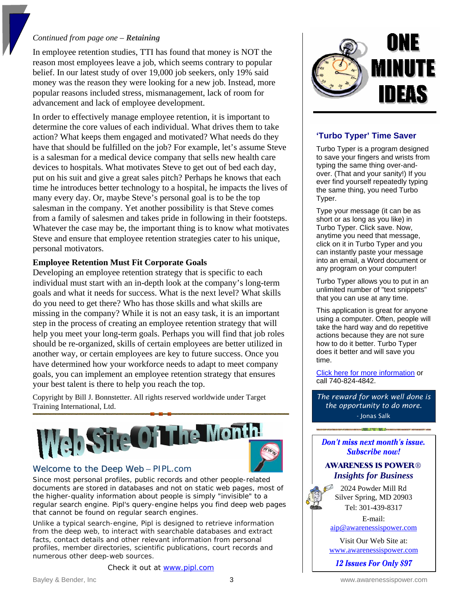#### *Continued from page one – Retaining*

In employee retention studies, TTI has found that money is NOT the reason most employees leave a job, which seems contrary to popular belief. In our latest study of over 19,000 job seekers, only 19% said money was the reason they were looking for a new job. Instead, more popular reasons included stress, mismanagement, lack of room for advancement and lack of employee development.

In order to effectively manage employee retention, it is important to determine the core values of each individual. What drives them to take action? What keeps them engaged and motivated? What needs do they have that should be fulfilled on the job? For example, let's assume Steve is a salesman for a medical device company that sells new health care devices to hospitals. What motivates Steve to get out of bed each day, put on his suit and give a great sales pitch? Perhaps he knows that each time he introduces better technology to a hospital, he impacts the lives of many every day. Or, maybe Steve's personal goal is to be the top salesman in the company. Yet another possibility is that Steve comes from a family of salesmen and takes pride in following in their footsteps. Whatever the case may be, the important thing is to know what motivates Steve and ensure that employee retention strategies cater to his unique, personal motivators.

#### **Employee Retention Must Fit Corporate Goals**

Developing an employee retention strategy that is specific to each individual must start with an in-depth look at the company's long-term goals and what it needs for success. What is the next level? What skills do you need to get there? Who has those skills and what skills are missing in the company? While it is not an easy task, it is an important step in the process of creating an employee retention strategy that will help you meet your long-term goals. Perhaps you will find that job roles should be re-organized, skills of certain employees are better utilized in another way, or certain employees are key to future success. Once you have determined how your workforce needs to adapt to meet company goals, you can implement an employee retention strategy that ensures your best talent is there to help you reach the top.

Copyright by Bill J. Bonnstetter. All rights reserved worldwide under Target Training International, Ltd.



#### Welcome to the Deep Web – PIPL.com

Since most personal profiles, public records and other people-related documents are stored in databases and not on static web pages, most of the higher-quality information about people is simply "invisible" to a regular search engine. Pipl's query-engine helps you find deep web pages that cannot be found on regular search engines.

Unlike a typical search-engine, Pipl is designed to retrieve information from the deep web, to interact with searchable databases and extract facts, contact details and other relevant information from personal profiles, member directories, scientific publications, court records and numerous other deep-web sources.

Check it out at [www.pipl.com](http://www.pipl.com/)



#### **'Turbo Typer' Time Saver**

Turbo Typer is a program designed to save your fingers and wrists from typing the same thing over-andover. (That and your sanity!) If you ever find yourself repeatedly typing the same thing, you need Turbo Typer.

Type your message (it can be as short or as long as you like) in Turbo Typer. Click save. Now, anytime you need that message, click on it in Turbo Typer and you can instantly paste your message into an email, a Word document or any program on your computer!

Turbo Typer allows you to put in an unlimited number of "text snippets" that you can use at any time.

This application is great for anyone using a computer. Often, people will take the hard way and do repetitive actions because they are not sure how to do it better. Turbo Typer does it better and will save you time.

[Click here for more information](http://newsletterville.com/software/turbo_typer/website/index.html) or call 740-824-4842.

*The reward for work well done is the opportunity to do more.*  - Jonas Salk

Don't miss next month's issue. **Subscribe now!** 

#### **AWARENESS IS POWER®** *Insights for Business*

2024 Powder Mill Rd Silver Spring, MD 20903 Tel: 301-439-8317

E-mail:

[aip@awarenessispower.com](mailto:aip@awarenessispower.com)

Visit Our Web Site at: [www.awarenessispower.com](http://www.awarenessispower.com/)

12 Issues For Only \$97